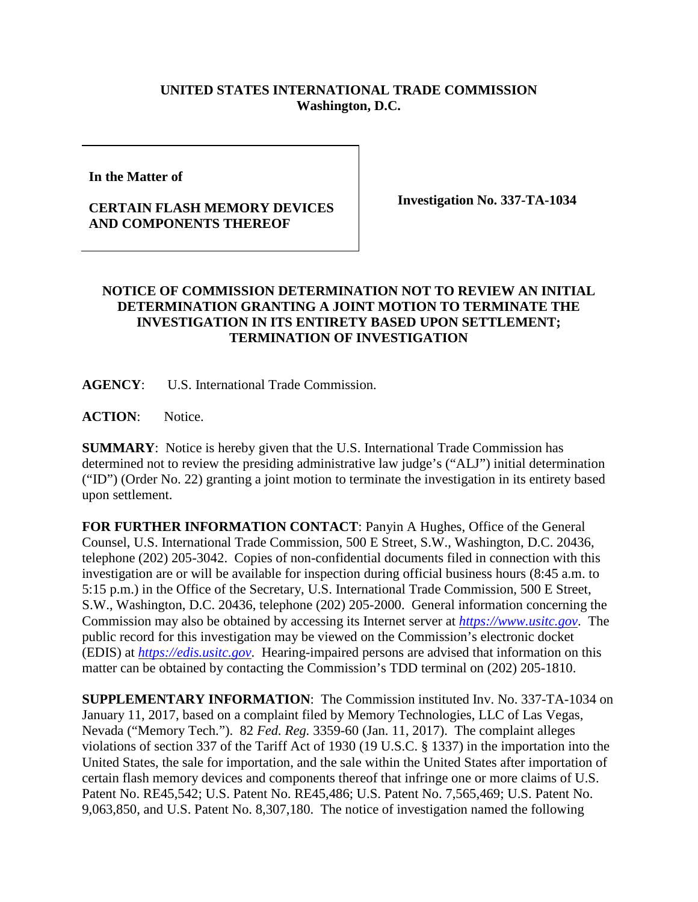## **UNITED STATES INTERNATIONAL TRADE COMMISSION Washington, D.C.**

**In the Matter of**

## **CERTAIN FLASH MEMORY DEVICES AND COMPONENTS THEREOF**

**Investigation No. 337-TA-1034**

## **NOTICE OF COMMISSION DETERMINATION NOT TO REVIEW AN INITIAL DETERMINATION GRANTING A JOINT MOTION TO TERMINATE THE INVESTIGATION IN ITS ENTIRETY BASED UPON SETTLEMENT; TERMINATION OF INVESTIGATION**

**AGENCY**: U.S. International Trade Commission.

**ACTION**: Notice.

**SUMMARY**: Notice is hereby given that the U.S. International Trade Commission has determined not to review the presiding administrative law judge's ("ALJ") initial determination ("ID") (Order No. 22) granting a joint motion to terminate the investigation in its entirety based upon settlement.

**FOR FURTHER INFORMATION CONTACT**: Panyin A Hughes, Office of the General Counsel, U.S. International Trade Commission, 500 E Street, S.W., Washington, D.C. 20436, telephone (202) 205-3042. Copies of non-confidential documents filed in connection with this investigation are or will be available for inspection during official business hours (8:45 a.m. to 5:15 p.m.) in the Office of the Secretary, U.S. International Trade Commission, 500 E Street, S.W., Washington, D.C. 20436, telephone (202) 205-2000. General information concerning the Commission may also be obtained by accessing its Internet server at *[https://www.usitc.gov](https://www.usitc.gov/)*. The public record for this investigation may be viewed on the Commission's electronic docket (EDIS) at *[https://edis.usitc.gov](https://edis.usitc.gov/)*. Hearing-impaired persons are advised that information on this matter can be obtained by contacting the Commission's TDD terminal on (202) 205-1810.

**SUPPLEMENTARY INFORMATION**: The Commission instituted Inv. No. 337-TA-1034 on January 11, 2017, based on a complaint filed by Memory Technologies, LLC of Las Vegas, Nevada ("Memory Tech."). 82 *Fed. Reg.* 3359-60 (Jan. 11, 2017). The complaint alleges violations of section 337 of the Tariff Act of 1930 (19 U.S.C. § 1337) in the importation into the United States, the sale for importation, and the sale within the United States after importation of certain flash memory devices and components thereof that infringe one or more claims of U.S. Patent No. RE45,542; U.S. Patent No. RE45,486; U.S. Patent No. 7,565,469; U.S. Patent No. 9,063,850, and U.S. Patent No. 8,307,180. The notice of investigation named the following